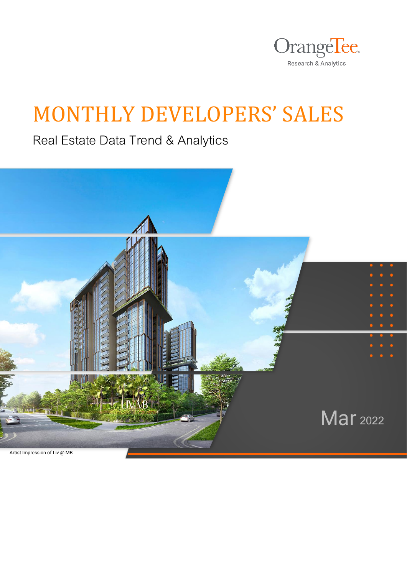

## MONTHLY DEVELOPERS' SALES

Real Estate Data Trend & Analytics

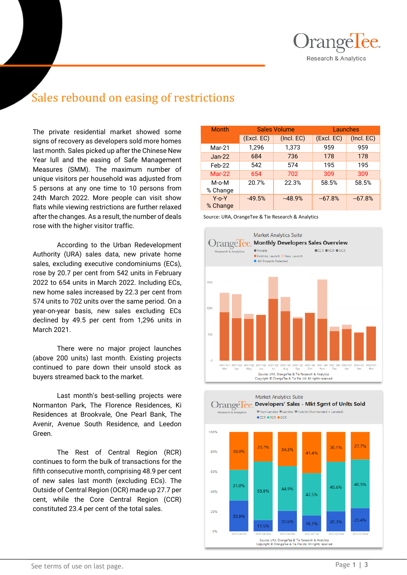

## Sales rebound on easing of restrictions

The private residential market showed some signs of recovery as developers sold more homes last month. Sales picked up after the Chinese New Year lull and the easing of Safe Management Measures (SMM). The maximum number of unique visitors per household was adjusted from 5 persons at any one time to 10 persons from 24th March 2022. More people can visit show flats while viewing restrictions are further relaxed after the changes. As a result, the number of deals rose with the higher visitor traffic.

According to the Urban Redevelopment Authority (URA) sales data, new private home sales, excluding executive condominiums (ECs), rose by 20.7 per cent from 542 units in February 2022 to 654 units in March 2022. Including ECs, new home sales increased by 22.3 per cent from 574 units to 702 units over the same period. On a year-on-year basis, new sales excluding ECs declined by 49.5 per cent from 1,296 units in March 2021.

There were no major project launches (above 200 units) last month. Existing projects continued to pare down their unsold stock as buyers streamed back to the market.

Last month's best-selling projects were Normanton Park, The Florence Residences, Ki Residences at Brookvale, One Pearl Bank, The Avenir, Avenue South Residence, and Leedon Green.

The Rest of Central Region (RCR) continues to form the bulk of transactions for the fifth consecutive month, comprising 48.9 per cent of new sales last month (excluding ECs). The Outside of Central Region (OCR) made up 27.7 per cent, while the Core Central Region (CCR) constituted 23.4 per cent of the total sales.

| <b>Month</b>            |            | <b>Sales Volume</b> | Launches   |            |  |  |
|-------------------------|------------|---------------------|------------|------------|--|--|
|                         | (Excl. EC) | (Incl. EC)          | (Excl. EC) | (Incl. EC) |  |  |
| Mar-21                  | 1,296      | 1,373               | 959        | 959        |  |  |
| $Jan-22$                | 684        | 736                 | 178        | 178        |  |  |
| Feb-22                  | 542        | 574                 | 195        | 195        |  |  |
| $Mar-22$                | 654        | 702                 | 309        | 309        |  |  |
| M-o-M<br>% Change       | 20.7%      | 22.3%               | 58.5%      | 58.5%      |  |  |
| $Y$ -o- $Y$<br>% Change | $-49.5%$   | $-48.9%$            | $-67.8%$   | $-67.8%$   |  |  |

Source: URA, OrangeTee & Tie Research & Analytics



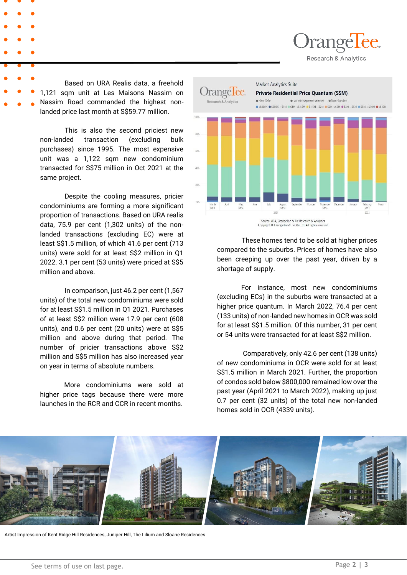)rangélèe. Research & Analytics

Based on URA Realis data, a freehold 1,121 sqm unit at Les Maisons Nassim on Nassim Road commanded the highest nonlanded price last month at S\$59.77 million.

This is also the second priciest new non-landed transaction (excluding bulk purchases) since 1995. The most expensive unit was a 1,122 sqm new condominium transacted for S\$75 million in Oct 2021 at the same project.

Despite the cooling measures, pricier condominiums are forming a more significant proportion of transactions. Based on URA realis data, 75.9 per cent (1,302 units) of the nonlanded transactions (excluding EC) were at least S\$1.5 million, of which 41.6 per cent (713 units) were sold for at least S\$2 million in Q1 2022. 3.1 per cent (53 units) were priced at S\$5 million and above.

. number of pricier transactions above S\$2 In comparison, just 46.2 per cent (1,567 units) of the total new condominiums were sold for at least S\$1.5 million in Q1 2021. Purchases of at least S\$2 million were 17.9 per cent (608 units), and 0.6 per cent (20 units) were at S\$5 million and above during that period. The million and S\$5 million has also increased year on year in terms of absolute numbers.

More condominiums were sold at higher price tags because there were more launches in the RCR and CCR in recent months.



These homes tend to be sold at higher prices compared to the suburbs. Prices of homes have also been creeping up over the past year, driven by a shortage of supply.

For instance, most new condominiums (excluding ECs) in the suburbs were transacted at a higher price quantum. In March 2022, 76.4 per cent (133 units) of non-landed new homes in OCR was sold for at least S\$1.5 million. Of this number, 31 per cent or 54 units were transacted for at least S\$2 million.

Comparatively, only 42.6 per cent (138 units) of new condominiums in OCR were sold for at least S\$1.5 million in March 2021. Further, the proportion of condos sold below \$800,000 remained low over the past year (April 2021 to March 2022), making up just 0.7 per cent (32 units) of the total new non-landed homes sold in OCR (4339 units).



Artist Impression of Kent Ridge Hill Residences, Juniper Hill, The Lilium and Sloane Residences